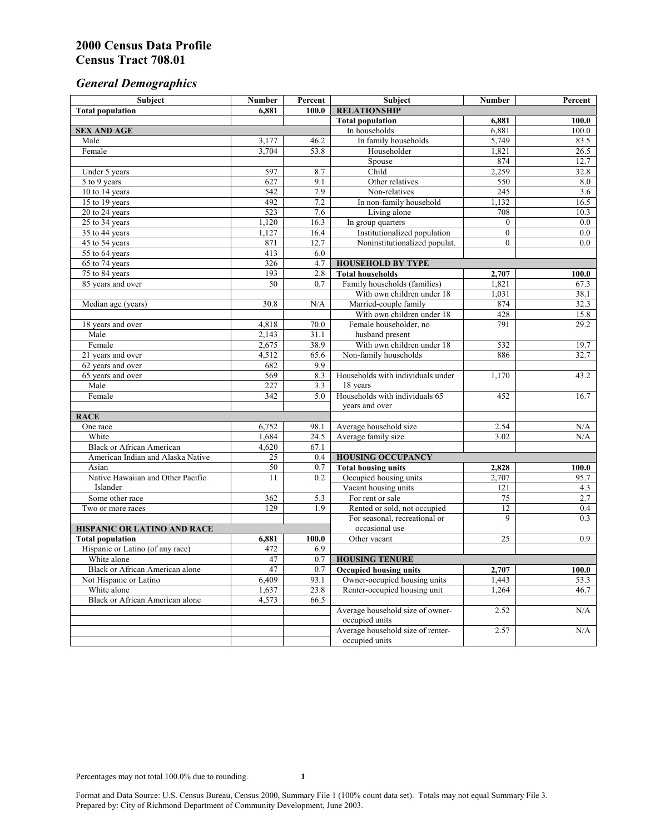# *General Demographics*

| Subject                           | <b>Number</b>          | Percent    | Subject                                                 | <b>Number</b>  | Percent       |
|-----------------------------------|------------------------|------------|---------------------------------------------------------|----------------|---------------|
| <b>Total population</b>           | 6,881                  | 100.0      | <b>RELATIONSHIP</b>                                     |                |               |
|                                   |                        |            | <b>Total population</b>                                 | 6,881          | 100.0         |
| <b>SEX AND AGE</b>                |                        |            | In households                                           | 6,881          | 100.0         |
| Male                              | 3,177                  | 46.2       | In family households                                    | 5,749          | 83.5          |
| Female                            | 3,704                  | 53.8       | Householder                                             | 1,821          | 26.5          |
|                                   |                        |            | Spouse                                                  | 874            | 12.7          |
| Under 5 years                     | 597                    | 8.7        | Child                                                   | 2,259          | 32.8          |
| 5 to 9 years                      | 627                    | 9.1        | Other relatives                                         | 550            | 8.0           |
| 10 to 14 years                    | 542                    | 7.9        | Non-relatives                                           | 245            | 3.6           |
| 15 to 19 years                    | 492                    | 7.2        | In non-family household                                 | 1,132          | 16.5          |
| 20 to 24 years                    | 523                    | 7.6        | Living alone                                            | 708            | 10.3          |
| $25 \text{ to } 34$ years         | 1,120                  | 16.3       | In group quarters                                       | $\overline{0}$ | 0.0           |
| 35 to 44 years                    | 1,127                  | 16.4       | Institutionalized population                            | $\overline{0}$ | 0.0           |
| 45 to 54 years                    | 871                    | 12.7       | Noninstitutionalized populat.                           | $\overline{0}$ | 0.0           |
| 55 to 64 years                    | 413                    | 6.0        |                                                         |                |               |
| 65 to 74 years                    | 326                    | 4.7        | <b>HOUSEHOLD BY TYPE</b>                                |                |               |
| 75 to 84 years                    | 193<br>$\overline{50}$ | 2.8<br>0.7 | <b>Total households</b><br>Family households (families) | 2,707<br>1,821 | 100.0<br>67.3 |
| 85 years and over                 |                        |            | With own children under 18                              | 1,031          |               |
|                                   | 30.8                   | N/A        | Married-couple family                                   | 874            | 38.1<br>32.3  |
| Median age (years)                |                        |            | With own children under 18                              | 428            | 15.8          |
| 18 years and over                 | 4,818                  | 70.0       | Female householder, no                                  | 791            | 29.2          |
| Male                              | 2,143                  | 31.1       | husband present                                         |                |               |
| Female                            | 2,675                  | 38.9       | With own children under 18                              | 532            | 19.7          |
| 21 years and over                 | 4,512                  | 65.6       | Non-family households                                   | 886            | 32.7          |
| 62 years and over                 | 682                    | 9.9        |                                                         |                |               |
| 65 years and over                 | 569                    | 8.3        | Households with individuals under                       | 1,170          | 43.2          |
| Male                              | 227                    | 3.3        | 18 years                                                |                |               |
| Female                            | 342                    | 5.0        | Households with individuals 65                          | 452            | 16.7          |
|                                   |                        |            | years and over                                          |                |               |
| <b>RACE</b>                       |                        |            |                                                         |                |               |
| One race                          | 6,752                  | 98.1       | Average household size                                  | 2.54           | $\rm N/A$     |
| White                             | 1,684                  | 24.5       | Average family size                                     | 3.02           | N/A           |
| <b>Black or African American</b>  | 4,620                  | 67.1       |                                                         |                |               |
| American Indian and Alaska Native | 25                     | 0.4        | <b>HOUSING OCCUPANCY</b>                                |                |               |
| Asian                             | 50                     | 0.7        | <b>Total housing units</b>                              | 2,828          | 100.0         |
| Native Hawaiian and Other Pacific | 11                     | 0.2        | Occupied housing units                                  | 2,707          | 95.7          |
| Islander                          |                        |            | Vacant housing units                                    | 121            | 4.3           |
| Some other race                   | 362                    | 5.3        | For rent or sale                                        | 75             | 2.7           |
| Two or more races                 | 129                    | 1.9        | Rented or sold, not occupied                            | 12             | 0.4           |
|                                   |                        |            | For seasonal, recreational or                           | 9              | 0.3           |
| HISPANIC OR LATINO AND RACE       |                        |            | occasional use                                          |                |               |
| <b>Total population</b>           | 6,881                  | 100.0      | Other vacant                                            | 25             | 0.9           |
| Hispanic or Latino (of any race)  | 472                    | 6.9        |                                                         |                |               |
| White alone                       | 47                     | 0.7        | <b>HOUSING TENURE</b>                                   |                |               |
| Black or African American alone   | 47                     | 0.7        | <b>Occupied housing units</b>                           | 2,707          | 100.0         |
| Not Hispanic or Latino            | 6,409                  | 93.1       | Owner-occupied housing units                            | 1,443          | 53.3          |
| White alone                       | 1,637                  | 23.8       | Renter-occupied housing unit                            | 1,264          | 46.7          |
| Black or African American alone   | 4,573                  | 66.5       |                                                         |                |               |
|                                   |                        |            | Average household size of owner-                        | 2.52           | N/A           |
|                                   |                        |            | occupied units                                          |                |               |
|                                   |                        |            | Average household size of renter-                       | 2.57           | N/A           |
|                                   |                        |            | occupied units                                          |                |               |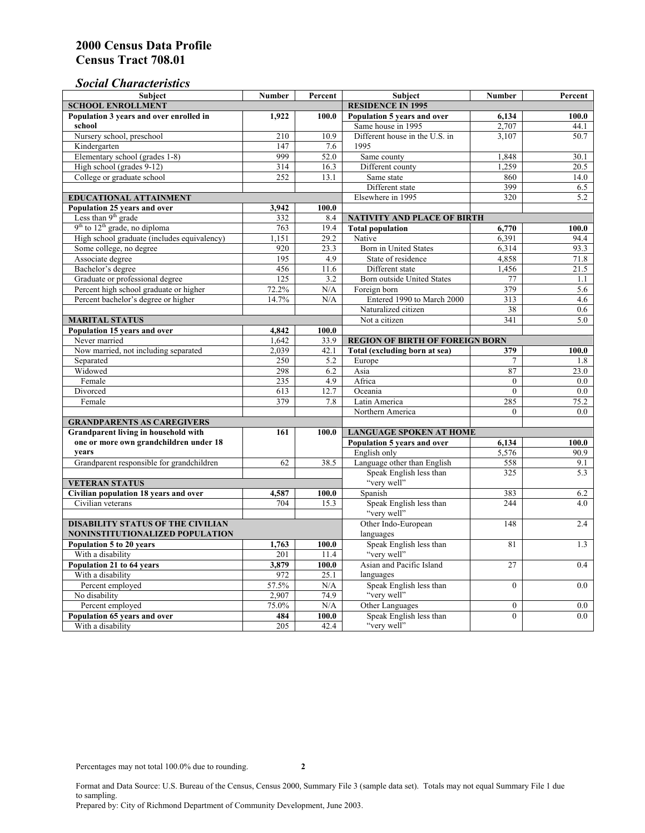# *Social Characteristics*

| <b>Subject</b>                                  | <b>Number</b>            | Percent | <b>Subject</b>                                                                  | <b>Number</b>    | Percent |
|-------------------------------------------------|--------------------------|---------|---------------------------------------------------------------------------------|------------------|---------|
| <b>SCHOOL ENROLLMENT</b>                        | <b>RESIDENCE IN 1995</b> |         |                                                                                 |                  |         |
| Population 3 years and over enrolled in         | 1,922                    | 100.0   | Population 5 years and over                                                     | 6,134            | 100.0   |
| school                                          |                          |         | Same house in 1995                                                              | 2,707            | 44.1    |
| Nursery school, preschool                       | 210                      | 10.9    | Different house in the U.S. in                                                  | 3.107            | 50.7    |
| Kindergarten                                    | 147                      | 7.6     | 1995                                                                            |                  |         |
| Elementary school (grades 1-8)                  | 999                      | 52.0    | Same county                                                                     | 1,848            | 30.1    |
| High school (grades 9-12)                       | 314                      | 16.3    | Different county                                                                | 1,259            | 20.5    |
| College or graduate school                      | 252                      | 13.1    | Same state                                                                      | 860              | 14.0    |
|                                                 |                          |         | Different state                                                                 | 399              | 6.5     |
| <b>EDUCATIONAL ATTAINMENT</b>                   |                          |         | Elsewhere in 1995                                                               | 320              | 5.2     |
| Population 25 years and over                    | 3,942                    | 100.0   |                                                                                 |                  |         |
| Less than 9 <sup>th</sup> grade                 | 332                      | 8.4     | NATIVITY AND PLACE OF BIRTH                                                     |                  |         |
| $9th$ to $12th$ grade, no diploma               | 763                      | 19.4    | <b>Total population</b>                                                         | 6,770            | 100.0   |
| High school graduate (includes equivalency)     | 1.151                    | 29.2    | Native                                                                          | 6.391            | 94.4    |
| Some college, no degree                         | 920                      | 23.3    | <b>Born</b> in United States                                                    | 6,314            | 93.3    |
| Associate degree                                | 195                      | 4.9     | State of residence                                                              | 4,858            | 71.8    |
| Bachelor's degree                               | 456                      | 11.6    | Different state                                                                 | 1,456            | 21.5    |
| Graduate or professional degree                 | 125                      | 3.2     | Born outside United States                                                      | 77               | 1.1     |
| Percent high school graduate or higher          | 72.2%                    | N/A     | Foreign born                                                                    | 379              | 5.6     |
| Percent bachelor's degree or higher             | 14.7%                    | N/A     | Entered 1990 to March 2000                                                      | 313              | 4.6     |
|                                                 |                          |         | Naturalized citizen                                                             | 38               | 0.6     |
| <b>MARITAL STATUS</b>                           |                          |         | Not a citizen                                                                   | 341              | 5.0     |
| Population 15 years and over                    | 4,842                    | 100.0   |                                                                                 |                  |         |
| Never married                                   | 1,642                    | 33.9    | <b>REGION OF BIRTH OF FOREIGN BORN</b>                                          |                  |         |
| Now married, not including separated            | 2,039                    | 42.1    | Total (excluding born at sea)                                                   | 379              | 100.0   |
| Separated                                       | 250                      | 5.2     | Europe                                                                          | 7                | 1.8     |
| Widowed                                         | 298                      | 6.2     | Asia                                                                            | 87               | 23.0    |
| Female                                          | 235                      | 4.9     | Africa                                                                          | $\Omega$         | 0.0     |
| Divorced                                        | 613<br>379               | 12.7    | Oceania                                                                         | $\theta$         | 0.0     |
| Female                                          |                          | 7.8     | Latin America                                                                   | 285              | 75.2    |
|                                                 |                          |         | Northern America                                                                | $\theta$         | 0.0     |
| <b>GRANDPARENTS AS CAREGIVERS</b>               |                          |         |                                                                                 |                  |         |
| Grandparent living in household with<br>161     |                          | 100.0   | <b>LANGUAGE SPOKEN AT HOME</b><br>Population 5 years and over<br>100.0<br>6,134 |                  |         |
| one or more own grandchildren under 18<br>years |                          |         | English only                                                                    | 5,576            | 90.9    |
| Grandparent responsible for grandchildren       | 62                       | 38.5    | Language other than English                                                     | 558              | 9.1     |
|                                                 |                          |         | Speak English less than                                                         | 325              | 5.3     |
| <b>VETERAN STATUS</b>                           |                          |         | "very well"                                                                     |                  |         |
| Civilian population 18 years and over           | 4,587                    | 100.0   | Spanish                                                                         | 383              | 6.2     |
| Civilian veterans                               | 704                      | 15.3    | Speak English less than                                                         | 244              | 4.0     |
|                                                 |                          |         | "very well"                                                                     |                  |         |
| <b>DISABILITY STATUS OF THE CIVILIAN</b>        |                          |         | Other Indo-European                                                             | 148              | 2.4     |
| NONINSTITUTIONALIZED POPULATION                 | languages                |         |                                                                                 |                  |         |
| Population 5 to 20 years                        | 1,763                    | 100.0   | Speak English less than                                                         | 81               | 1.3     |
| With a disability                               | 201                      | 11.4    | "very well"                                                                     |                  |         |
| Population 21 to 64 years                       | 3.879                    | 100.0   | Asian and Pacific Island                                                        | 27               | 0.4     |
| With a disability                               | 972                      | 25.1    | languages                                                                       |                  |         |
| Percent employed                                | 57.5%                    | N/A     | Speak English less than                                                         | $\overline{0}$   | 0.0     |
| No disability                                   | 2,907                    | 74.9    | "very well"                                                                     |                  |         |
| Percent employed                                | 75.0%                    | N/A     | Other Languages                                                                 | $\boldsymbol{0}$ | $0.0\,$ |
| Population 65 years and over                    | 484                      | 100.0   | Speak English less than                                                         | $\mathbf{0}$     | 0.0     |
| With a disability                               | 205                      | 42.4    | "very well"                                                                     |                  |         |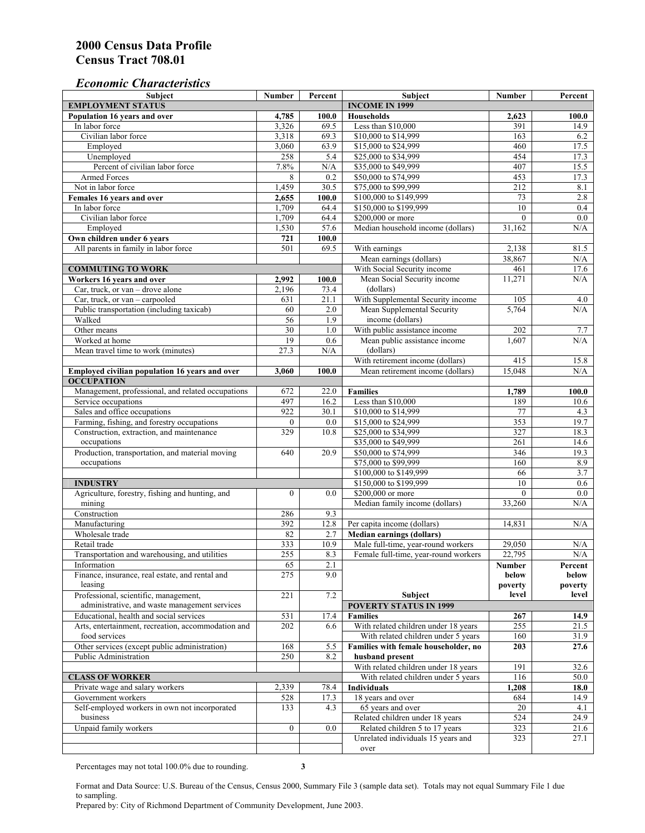### *Economic Characteristics*

| <b>Subject</b>                                                 | <b>Number</b>   | Percent               | Subject                                                                | <b>Number</b>    | Percent          |
|----------------------------------------------------------------|-----------------|-----------------------|------------------------------------------------------------------------|------------------|------------------|
| <b>EMPLOYMENT STATUS</b>                                       |                 | <b>INCOME IN 1999</b> |                                                                        |                  |                  |
| Population 16 years and over                                   | 4,785           | 100.0                 | <b>Households</b>                                                      | 2,623            | 100.0            |
| In labor force                                                 | 3,326           | 69.5                  | Less than \$10,000                                                     | 391              | 14.9             |
| Civilian labor force                                           | 3,318           | 69.3                  | \$10,000 to \$14,999                                                   | 163              | 6.2              |
| Employed                                                       | 3,060           | 63.9                  | \$15,000 to \$24,999                                                   | 460              | 17.5             |
| Unemployed                                                     | 258             | 5.4                   | \$25,000 to \$34,999                                                   | 454              | 17.3             |
| Percent of civilian labor force                                | 7.8%            | $\rm N/A$             | \$35,000 to \$49,999                                                   | 407              | 15.5             |
| Armed Forces                                                   | 8               | 0.2                   | \$50,000 to \$74,999                                                   | 453              | 17.3             |
| Not in labor force                                             | 1,459           | 30.5                  | \$75,000 to \$99,999                                                   | 212              | 8.1              |
| Females 16 years and over<br>In labor force                    | 2.655<br>1,709  | 100.0<br>64.4         | \$100,000 to \$149,999<br>\$150,000 to \$199,999                       | 73<br>10         | 2.8<br>0.4       |
| Civilian labor force                                           | 1,709           | 64.4                  | \$200,000 or more                                                      | $\mathbf{0}$     | 0.0              |
| Employed                                                       | 1,530           | 57.6                  | Median household income (dollars)                                      | 31,162           | N/A              |
| Own children under 6 years                                     | 721             | 100.0                 |                                                                        |                  |                  |
| All parents in family in labor force                           | 501             | 69.5                  | With earnings                                                          | 2,138            | 81.5             |
|                                                                |                 |                       | Mean earnings (dollars)                                                | 38,867           | N/A              |
| <b>COMMUTING TO WORK</b>                                       |                 |                       | With Social Security income                                            | 461              | 17.6             |
| Workers 16 years and over                                      | 2,992           | 100.0                 | Mean Social Security income                                            | 11,271           | N/A              |
| Car, truck, or van - drove alone                               | 2,196           | 73.4                  | (dollars)                                                              |                  |                  |
| Car, truck, or van – carpooled                                 | 631             | 21.1                  | With Supplemental Security income                                      | 105              | 4.0              |
| Public transportation (including taxicab)                      | 60              | $2.0\,$               | Mean Supplemental Security                                             | 5.764            | N/A              |
| Walked                                                         | 56              | 1.9                   | income (dollars)                                                       |                  |                  |
| Other means                                                    | $\overline{30}$ | 1.0                   | With public assistance income                                          | 202              | 7.7              |
| Worked at home                                                 | 19              | 0.6                   | Mean public assistance income                                          | 1,607            | N/A              |
| Mean travel time to work (minutes)                             | 27.3            | N/A                   | (dollars)                                                              |                  |                  |
|                                                                |                 |                       | With retirement income (dollars)                                       | 415              | 15.8             |
| Employed civilian population 16 years and over                 | 3,060           | 100.0                 | Mean retirement income (dollars)                                       | 15,048           | N/A              |
| <b>OCCUPATION</b>                                              |                 |                       |                                                                        |                  |                  |
| Management, professional, and related occupations              | 672             | 22.0                  | <b>Families</b>                                                        | 1,789            | 100.0            |
| Service occupations                                            | 497             | 16.2                  | Less than \$10,000                                                     | 189              | 10.6             |
| Sales and office occupations                                   | 922             | 30.1                  | \$10,000 to \$14,999                                                   | 77               | 4.3              |
| Farming, fishing, and forestry occupations                     | $\mathbf{0}$    | 0.0                   | \$15,000 to \$24,999                                                   | 353              | 19.7             |
| Construction, extraction, and maintenance                      | 329             | 10.8                  | \$25,000 to \$34,999                                                   | 327              | 18.3             |
| occupations                                                    |                 |                       | \$35,000 to \$49,999                                                   | 261              | 14.6             |
| Production, transportation, and material moving                | 640             | 20.9                  | \$50,000 to \$74,999                                                   | 346              | 19.3             |
| occupations                                                    |                 |                       | \$75,000 to \$99,999                                                   | 160              | 8.9              |
|                                                                |                 |                       | \$100,000 to \$149,999                                                 | 66               | 3.7              |
| <b>INDUSTRY</b>                                                |                 |                       | \$150,000 to \$199,999                                                 | 10               | 0.6              |
| Agriculture, forestry, fishing and hunting, and                | $\mathbf{0}$    | 0.0                   | \$200,000 or more                                                      | $\theta$         | $\overline{0.0}$ |
| mining                                                         |                 |                       | Median family income (dollars)                                         | 33,260           | $\rm N/A$        |
| Construction                                                   | 286             | 9.3                   |                                                                        |                  |                  |
| Manufacturing                                                  | 392             | 12.8                  | Per capita income (dollars)                                            | 14,831           | N/A              |
| Wholesale trade                                                | 82              | 2.7<br>10.9           | <b>Median earnings (dollars)</b><br>Male full-time, year-round workers |                  |                  |
| Retail trade                                                   | 333<br>255      | 8.3                   | Female full-time, year-round workers                                   | 29,050<br>22,795 | N/A<br>N/A       |
| Transportation and warehousing, and utilities                  |                 |                       |                                                                        |                  |                  |
| Information<br>Finance, insurance, real estate, and rental and | 65<br>275       | 2.1<br>9.0            |                                                                        | Number<br>below  | Percent<br>below |
| leasing                                                        |                 |                       |                                                                        | poverty          | poverty          |
| Professional, scientific, management,                          | 221             | 7.2                   | Subject                                                                | level            | level            |
| administrative, and waste management services                  |                 |                       | <b>POVERTY STATUS IN 1999</b>                                          |                  |                  |
| Educational, health and social services                        | 531             | 17.4                  | <b>Families</b>                                                        | 267              | 14.9             |
| Arts, entertainment, recreation, accommodation and             | 202             | 6.6                   | With related children under 18 years                                   | 255              | 21.5             |
| food services                                                  |                 |                       | With related children under 5 years                                    | 160              | 31.9             |
| Other services (except public administration)                  | 168             | 5.5                   | Families with female householder, no                                   | 203              | 27.6             |
| Public Administration                                          | 250             | 8.2                   | husband present                                                        |                  |                  |
|                                                                |                 |                       | With related children under 18 years                                   | 191              | 32.6             |
| <b>CLASS OF WORKER</b>                                         |                 |                       | With related children under 5 years                                    | 116              | 50.0             |
| Private wage and salary workers                                | 2,339           | 78.4                  | <b>Individuals</b>                                                     | 1,208            | 18.0             |
| Government workers                                             | 528             | 17.3                  | 18 years and over                                                      | 684              | 14.9             |
| Self-employed workers in own not incorporated                  | 133             | 4.3                   | 65 years and over                                                      | 20               | 4.1              |
| business                                                       |                 |                       | Related children under 18 years                                        | 524              | 24.9             |
| Unpaid family workers                                          | $\mathbf{0}$    | 0.0                   | Related children 5 to 17 years                                         | 323              | 21.6             |
|                                                                |                 |                       | Unrelated individuals 15 years and                                     | 323              | 27.1             |
|                                                                |                 |                       | over                                                                   |                  |                  |

Percentages may not total 100.0% due to rounding. **3** 

Format and Data Source: U.S. Bureau of the Census, Census 2000, Summary File 3 (sample data set). Totals may not equal Summary File 1 due to sampling.

Prepared by: City of Richmond Department of Community Development, June 2003.